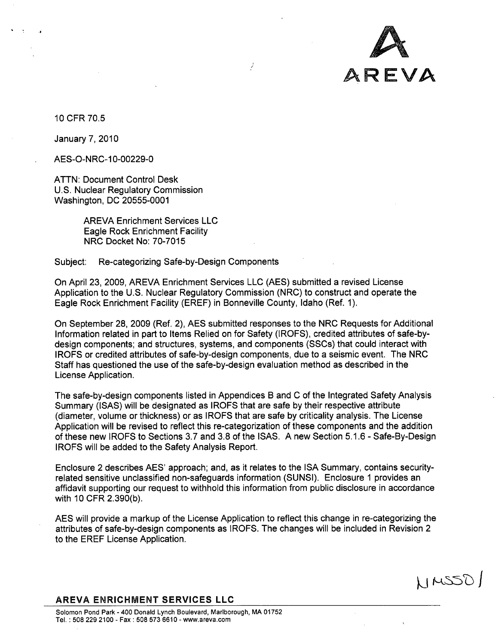

NMSSDI

10 CFR 70.5 10 CFR 70.5

January 7, 2010 January 7,2010

AES-O-NRC-1 0-00229-0 AES-O-NRC-10-00229-0

ATTN: Document Control Desk ATTN: Document Control Desk U.S. Nuclear Regulatory Commission U.S. Nuclear Regulatory Commission Washington, DC 20555-0001 Washington, DC 20555-0001

> AREVA Enrichment Services LLC AREVA Enrichment Services LLC Eagle Rock Enrichment Facility Eagle Rock Enrichment Facility NRC Docket No: 70-7015 NRC Docket No: 70-7015

Subject: Re-categorizing Safe-by-Design Components Subject: Re-categorizing Safe-bY-Design Components

On April 23, 2009, AREVA Enrichment Services LLC (AES) submitted a revised License On April 23, 2009, AREVA Enrichment Services LLC (AES) submitted a revised License Application to the U.S. Nuclear Regulatory Commission (NRC) to construct and operate the Application to the U.S. Nuclear Regulatory Commission (NRC) to construct and operate the Eagle Rock Enrichment Facility (EREF) in Bonneville County, Idaho (Ref. 1). Eagle Rock Enrichment Facility (EREF) in Bonneville County, Idaho (Ref. 1).

Ź

On September 28, 2009 (Ref. 2), AES submitted responses to the NRC Requests for Additional On September 28, 2009 (Ref. 2), AES submitted responses to the NRC Requests for Additional Information related in part to Items Relied on for Safety (IROFS), credited attributes of safe-by-Information related in part to Items Relied on for Safety (IROFS), credited attributes of safe-bydesign components; and structures, systems, and components (SSCs) that could interact with design components; and structures, systems, and components (SSCs) that could interact with IROFS or credited attributes of safe-by-design components, due to a seismic event. The NRC IROFS or credited attributes of safe-by-design components, due to a seismic event. The NRC Staff has questioned the use of the safe-by-design evaluation method as described in the Staff has questioned the use of the safe-by-design evaluation method as described in the License Application. License Application.

The safe-by-design components listed in Appendices B and C of the Integrated Safety Analysis The safe-by-design components listed in Appendices Band C of the Integrated Safety Analysis Summary (ISAS) will be designated as IROFS that are safe by their respective attribute Summary (ISAS) will be designated as IROFS that are safe by their respective attribute (diameter, volume or thickness) or as IROFS that are safe by criticality analysis. The License (diameter, volume or thickness) or as IROFS that are safe by criticality analysis. The License Application will be revised to reflect this re-categorization of these components and the addition Application will be revised to reflect this re-categorization of these components and the addition of these new IROFS to Sections 3.7 and 3.8 of the ISAS. A new Section 5.1.6 - Safe-By-Design IROFS will be added to the Safety Analysis Report. IROFS will be added to the Safety Analysis Report.

Enclosure 2 describes AES' approach; and, as it relates to the ISA Summary, contains security-Enclosure 2 describes AES' approach; and, as it relates to the ISA Summary, contains securityrelated sensitive unclassified non-safeguards information (SUNSI). Enclosure **1** provides an related sensitive unclassified non-safeguards information (SUNSI). Enclosure 1 provides an affidavit supporting our request to withhold this information from public disclosure in accordance affidavit supporting our request to withhold this information from public disclosure in accordance with 10 CFR 2.390(b). with 10 CFR 2.390(b).

AES will provide a markup of the License Application to reflect this change in re-categorizing the AES will provide a markup of the License Application to reflect this change in re-categorizing the attributes of safe-by-design components as IROFS. The changes will be included in Revision 2 attributes of safe-by-design components as IROFS. The changes will be included in Revision 2 to the EREF License Application. to the EREF License Application.

AREVA **ENRICHMENT SERVICES LLC** AREVA ENRICHMENT SERVICES LLC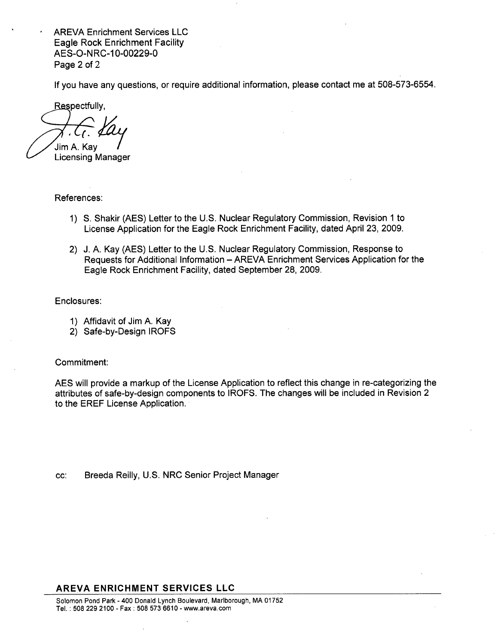AREVA Enrichment Services LLC AREVA Enrichment Services LLC Eagle Rock Enrichment Facility Eagle Rock Enrichment Facility AES-O-NRC-10-00229-0 AES-O-N RC-1 0-00229-0 Page 2 of 2 Page 2 of 2

If you have any questions, or require additional information, please contact me at 508-573-6554. If you have any questions, or require additional information, please contact me at 508-573-6554.

Respectfully,

Jim A. Kay **I** Jim A. Kay! , t. Yay

Licensing Manager Licensing Manager

References: References:

- 1) **S.** Shakir (AES) Letter to the U.S. Nuclear Regulatory Commission, Revision **1** to 1) S. Shakir (AES) Letter to the U.S. Nuclear Regulatory Commission, Revision 1 to License Application for the Eagle Rock Enrichment Facility, dated April 23, 2009. License Application for the Eagle Rock Enrichment Facility, dated April 23,2009.
- 2) J. A. Kay (AES) Letter to the U.S. Nuclear Regulatory Commission, Response to 2) J. A. Kay (AES) Letter to the U.S. Nuclear Regulatory Commission, Response to Requests for Additional Information – AREVA Enrichment Services Application for the Eagle Rock Enrichment Facility, dated September 28, 2009. Eagle Rock Enrichment Facility, dated September 28, 2009.

Enclosures: Enclosures:

- **1)** Affidavit of Jim A. Kay 1) Affidavit of Jim A. Kay
- 2) Safe-by-Design IROFS 2) Safe-by-Design IROFS

Commitment: Commitment:

AES will provide a markup of the License Application to reflect this change in re-categorizing the AES will provide a markup of the License Application to reflect this change in re-categorizing the attributes of safe-by-design components to IROFS. The changes will be included in Revision 2 attributes of safe-by-design components to IROFS. The changes will be included in Revision 2 to the EREF License Application. to the EREF License Application.

cc: Breeda Reilly, U.S. NRC Senior Project Manager

## AREVA **ENRICHMENT SERVICES LLC** AREVA ENRICHMENT SERVICES LLC